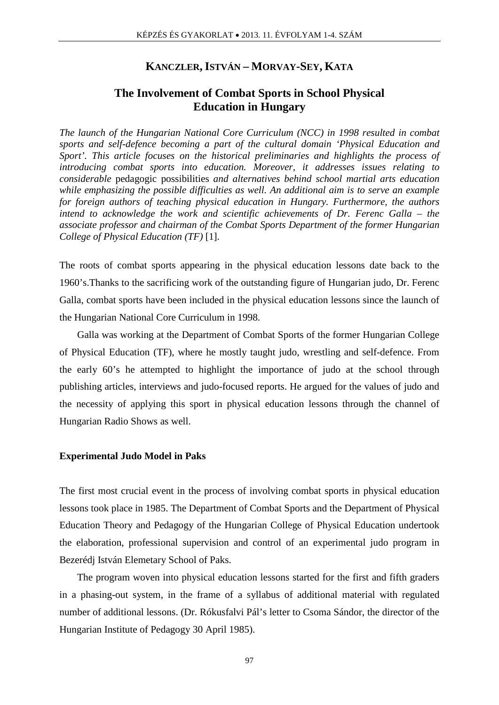## **KANCZLER,ISTVÁN – MORVAY-SEY, KATA**

# **The Involvement of Combat Sports in School Physical Education in Hungary**

*The launch of the Hungarian National Core Curriculum (NCC) in 1998 resulted in combat sports and self-defence becoming a part of the cultural domain 'Physical Education and Sport'. This article focuses on the historical preliminaries and highlights the process of introducing combat sports into education. Moreover, it addresses issues relating to considerable* pedagogic possibilities *and alternatives behind school martial arts education while emphasizing the possible difficulties as well. An additional aim is to serve an example for foreign authors of teaching physical education in Hungary. Furthermore, the authors intend to acknowledge the work and scientific achievements of Dr. Ferenc Galla – the associate professor and chairman of the Combat Sports Department of the former Hungarian College of Physical Education (TF)* [1]*.*

The roots of combat sports appearing in the physical education lessons date back to the 1960's.Thanks to the sacrificing work of the outstanding figure of Hungarian judo, Dr. Ferenc Galla, combat sports have been included in the physical education lessons since the launch of the Hungarian National Core Curriculum in 1998.

Galla was working at the Department of Combat Sports of the former Hungarian College of Physical Education (TF), where he mostly taught judo, wrestling and self-defence. From the early 60's he attempted to highlight the importance of judo at the school through publishing articles, interviews and judo-focused reports. He argued for the values of judo and the necessity of applying this sport in physical education lessons through the channel of Hungarian Radio Shows as well.

#### **Experimental Judo Model in Paks**

The first most crucial event in the process of involving combat sports in physical education lessons took place in 1985. The Department of Combat Sports and the Department of Physical Education Theory and Pedagogy of the Hungarian College of Physical Education undertook the elaboration, professional supervision and control of an experimental judo program in Bezerédj István Elemetary School of Paks.

The program woven into physical education lessons started for the first and fifth graders in a phasing-out system, in the frame of a syllabus of additional material with regulated number of additional lessons. (Dr. Rókusfalvi Pál's letter to Csoma Sándor, the director of the Hungarian Institute of Pedagogy 30 April 1985).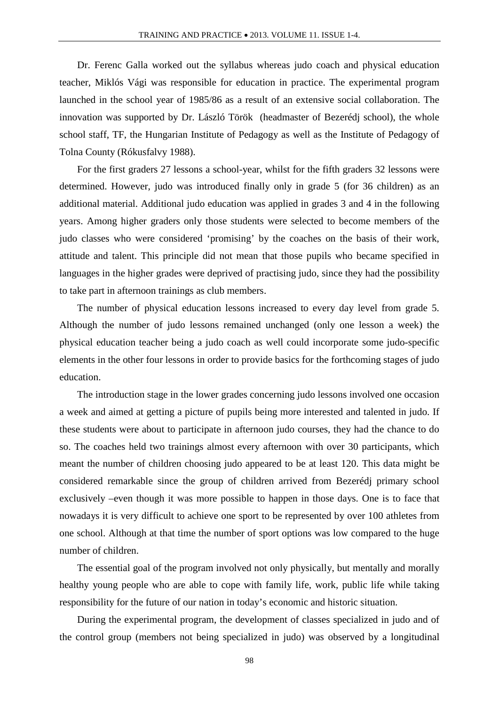Dr. Ferenc Galla worked out the syllabus whereas judo coach and physical education teacher, Miklós Vági was responsible for education in practice. The experimental program launched in the school year of 1985/86 as a result of an extensive social collaboration. The innovation was supported by Dr. László Török (headmaster of Bezerédj school), the whole school staff, TF, the Hungarian Institute of Pedagogy as well as the Institute of Pedagogy of Tolna County (Rókusfalvy 1988).

For the first graders 27 lessons a school-year, whilst for the fifth graders 32 lessons were determined. However, judo was introduced finally only in grade 5 (for 36 children) as an additional material. Additional judo education was applied in grades 3 and 4 in the following years. Among higher graders only those students were selected to become members of the judo classes who were considered 'promising' by the coaches on the basis of their work, attitude and talent. This principle did not mean that those pupils who became specified in languages in the higher grades were deprived of practising judo, since they had the possibility to take part in afternoon trainings as club members.

The number of physical education lessons increased to every day level from grade 5. Although the number of judo lessons remained unchanged (only one lesson a week) the physical education teacher being a judo coach as well could incorporate some judo-specific elements in the other four lessons in order to provide basics for the forthcoming stages of judo education.

The introduction stage in the lower grades concerning judo lessons involved one occasion a week and aimed at getting a picture of pupils being more interested and talented in judo. If these students were about to participate in afternoon judo courses, they had the chance to do so. The coaches held two trainings almost every afternoon with over 30 participants, which meant the number of children choosing judo appeared to be at least 120. This data might be considered remarkable since the group of children arrived from Bezerédj primary school exclusively –even though it was more possible to happen in those days. One is to face that nowadays it is very difficult to achieve one sport to be represented by over 100 athletes from one school. Although at that time the number of sport options was low compared to the huge number of children.

The essential goal of the program involved not only physically, but mentally and morally healthy young people who are able to cope with family life, work, public life while taking responsibility for the future of our nation in today's economic and historic situation.

During the experimental program, the development of classes specialized in judo and of the control group (members not being specialized in judo) was observed by a longitudinal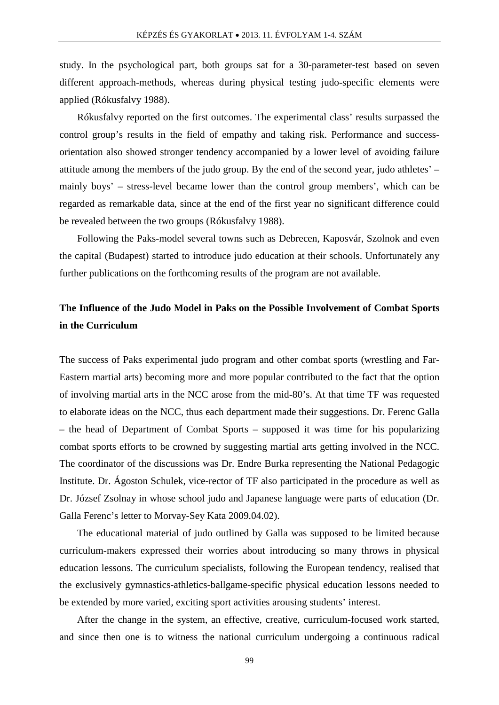study. In the psychological part, both groups sat for a 30-parameter-test based on seven different approach-methods, whereas during physical testing judo-specific elements were applied (Rókusfalvy 1988).

Rókusfalvy reported on the first outcomes. The experimental class' results surpassed the control group's results in the field of empathy and taking risk. Performance and successorientation also showed stronger tendency accompanied by a lower level of avoiding failure attitude among the members of the judo group. By the end of the second year, judo athletes' – mainly boys' – stress-level became lower than the control group members', which can be regarded as remarkable data, since at the end of the first year no significant difference could be revealed between the two groups (Rókusfalvy 1988).

Following the Paks-model several towns such as Debrecen, Kaposvár, Szolnok and even the capital (Budapest) started to introduce judo education at their schools. Unfortunately any further publications on the forthcoming results of the program are not available.

# **The Influence of the Judo Model in Paks on the Possible Involvement of Combat Sports in the Curriculum**

The success of Paks experimental judo program and other combat sports (wrestling and Far-Eastern martial arts) becoming more and more popular contributed to the fact that the option of involving martial arts in the NCC arose from the mid-80's. At that time TF was requested to elaborate ideas on the NCC, thus each department made their suggestions. Dr. Ferenc Galla – the head of Department of Combat Sports – supposed it was time for his popularizing combat sports efforts to be crowned by suggesting martial arts getting involved in the NCC. The coordinator of the discussions was Dr. Endre Burka representing the National Pedagogic Institute. Dr. Ágoston Schulek, vice-rector of TF also participated in the procedure as well as Dr. József Zsolnay in whose school judo and Japanese language were parts of education (Dr. Galla Ferenc's letter to Morvay-Sey Kata 2009.04.02).

The educational material of judo outlined by Galla was supposed to be limited because curriculum-makers expressed their worries about introducing so many throws in physical education lessons. The curriculum specialists, following the European tendency, realised that the exclusively gymnastics-athletics-ballgame-specific physical education lessons needed to be extended by more varied, exciting sport activities arousing students' interest.

After the change in the system, an effective, creative, curriculum-focused work started, and since then one is to witness the national curriculum undergoing a continuous radical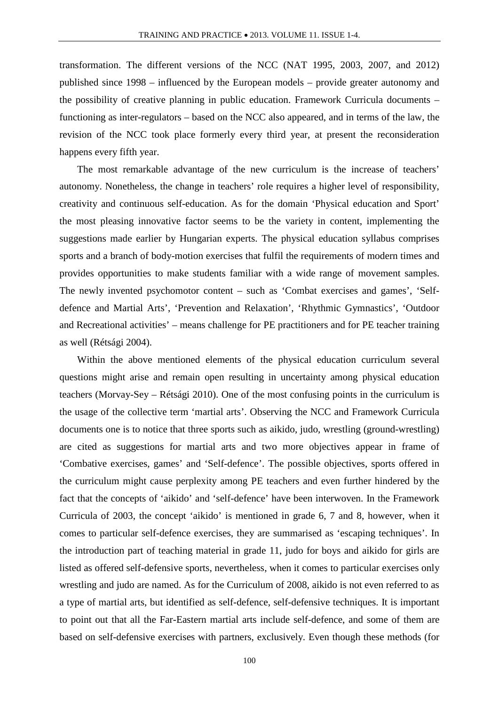transformation. The different versions of the NCC (NAT 1995, 2003, 2007, and 2012) published since 1998 – influenced by the European models – provide greater autonomy and the possibility of creative planning in public education. Framework Curricula documents – functioning as inter-regulators – based on the NCC also appeared, and in terms of the law, the revision of the NCC took place formerly every third year, at present the reconsideration happens every fifth year.

The most remarkable advantage of the new curriculum is the increase of teachers' autonomy. Nonetheless, the change in teachers' role requires a higher level of responsibility, creativity and continuous self-education. As for the domain 'Physical education and Sport' the most pleasing innovative factor seems to be the variety in content, implementing the suggestions made earlier by Hungarian experts. The physical education syllabus comprises sports and a branch of body-motion exercises that fulfil the requirements of modern times and provides opportunities to make students familiar with a wide range of movement samples. The newly invented psychomotor content – such as 'Combat exercises and games', 'Selfdefence and Martial Arts', 'Prevention and Relaxation', 'Rhythmic Gymnastics', 'Outdoor and Recreational activities' – means challenge for PE practitioners and for PE teacher training as well (Rétsági 2004).

Within the above mentioned elements of the physical education curriculum several questions might arise and remain open resulting in uncertainty among physical education teachers (Morvay-Sey – Rétsági 2010). One of the most confusing points in the curriculum is the usage of the collective term 'martial arts'. Observing the NCC and Framework Curricula documents one is to notice that three sports such as aikido, judo, wrestling (ground-wrestling) are cited as suggestions for martial arts and two more objectives appear in frame of 'Combative exercises, games' and 'Self-defence'. The possible objectives, sports offered in the curriculum might cause perplexity among PE teachers and even further hindered by the fact that the concepts of 'aikido' and 'self-defence' have been interwoven. In the Framework Curricula of 2003, the concept 'aikido' is mentioned in grade 6, 7 and 8, however, when it comes to particular self-defence exercises, they are summarised as 'escaping techniques'. In the introduction part of teaching material in grade 11, judo for boys and aikido for girls are listed as offered self-defensive sports, nevertheless, when it comes to particular exercises only wrestling and judo are named. As for the Curriculum of 2008, aikido is not even referred to as a type of martial arts, but identified as self-defence, self-defensive techniques. It is important to point out that all the Far-Eastern martial arts include self-defence, and some of them are based on self-defensive exercises with partners, exclusively. Even though these methods (for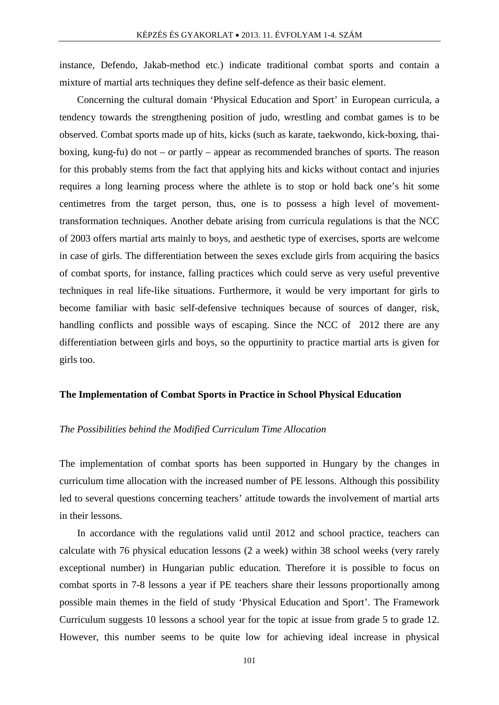instance, Defendo, Jakab-method etc.) indicate traditional combat sports and contain a mixture of martial arts techniques they define self-defence as their basic element.

Concerning the cultural domain 'Physical Education and Sport' in European curricula, a tendency towards the strengthening position of judo, wrestling and combat games is to be observed. Combat sports made up of hits, kicks (such as karate, taekwondo, kick-boxing, thaiboxing, kung-fu) do not – or partly – appear as recommended branches of sports. The reason for this probably stems from the fact that applying hits and kicks without contact and injuries requires a long learning process where the athlete is to stop or hold back one's hit some centimetres from the target person, thus, one is to possess a high level of movementtransformation techniques. Another debate arising from curricula regulations is that the NCC of 2003 offers martial arts mainly to boys, and aesthetic type of exercises, sports are welcome in case of girls. The differentiation between the sexes exclude girls from acquiring the basics of combat sports, for instance, falling practices which could serve as very useful preventive techniques in real life-like situations. Furthermore, it would be very important for girls to become familiar with basic self-defensive techniques because of sources of danger, risk, handling conflicts and possible ways of escaping. Since the NCC of 2012 there are any differentiation between girls and boys, so the oppurtinity to practice martial arts is given for girls too.

#### **The Implementation of Combat Sports in Practice in School Physical Education**

#### *The Possibilities behind the Modified Curriculum Time Allocation*

The implementation of combat sports has been supported in Hungary by the changes in curriculum time allocation with the increased number of PE lessons. Although this possibility led to several questions concerning teachers' attitude towards the involvement of martial arts in their lessons.

In accordance with the regulations valid until 2012 and school practice, teachers can calculate with 76 physical education lessons (2 a week) within 38 school weeks (very rarely exceptional number) in Hungarian public education. Therefore it is possible to focus on combat sports in 7-8 lessons a year if PE teachers share their lessons proportionally among possible main themes in the field of study 'Physical Education and Sport'. The Framework Curriculum suggests 10 lessons a school year for the topic at issue from grade 5 to grade 12. However, this number seems to be quite low for achieving ideal increase in physical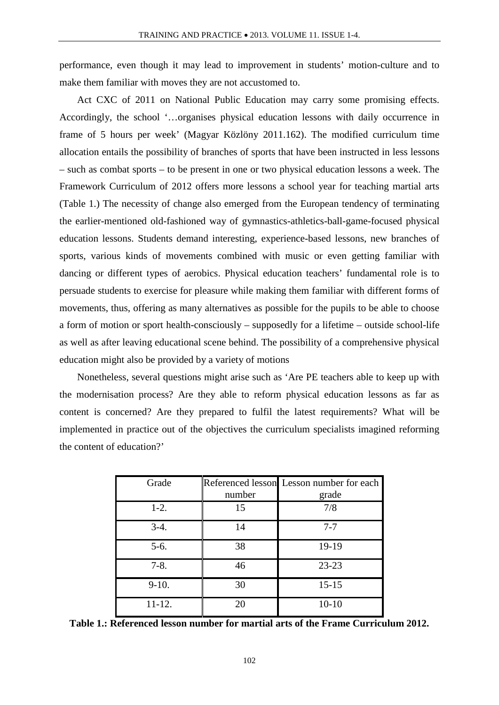performance, even though it may lead to improvement in students' motion-culture and to make them familiar with moves they are not accustomed to.

Act CXC of 2011 on National Public Education may carry some promising effects. Accordingly, the school '…organises physical education lessons with daily occurrence in frame of 5 hours per week' (Magyar Közlöny 2011.162). The modified curriculum time allocation entails the possibility of branches of sports that have been instructed in less lessons – such as combat sports – to be present in one or two physical education lessons a week. The Framework Curriculum of 2012 offers more lessons a school year for teaching martial arts (Table 1.) The necessity of change also emerged from the European tendency of terminating the earlier-mentioned old-fashioned way of gymnastics-athletics-ball-game-focused physical education lessons. Students demand interesting, experience-based lessons, new branches of sports, various kinds of movements combined with music or even getting familiar with dancing or different types of aerobics. Physical education teachers' fundamental role is to persuade students to exercise for pleasure while making them familiar with different forms of movements, thus, offering as many alternatives as possible for the pupils to be able to choose a form of motion or sport health-consciously – supposedly for a lifetime – outside school-life as well as after leaving educational scene behind. The possibility of a comprehensive physical education might also be provided by a variety of motions

Nonetheless, several questions might arise such as 'Are PE teachers able to keep up with the modernisation process? Are they able to reform physical education lessons as far as content is concerned? Are they prepared to fulfil the latest requirements? What will be implemented in practice out of the objectives the curriculum specialists imagined reforming the content of education?'

| Grade      |        | Referenced lesson Lesson number for each |
|------------|--------|------------------------------------------|
|            | number | grade                                    |
| $1-2.$     | 15     | 7/8                                      |
| $3-4.$     | 14     | $7 - 7$                                  |
| $5-6.$     | 38     | 19-19                                    |
| $7-8.$     | 46     | $23 - 23$                                |
| $9-10.$    | 30     | $15 - 15$                                |
| $11 - 12.$ | 20     | $10-10$                                  |

**Table 1.: Referenced lesson number for martial arts of the Frame Curriculum 2012.**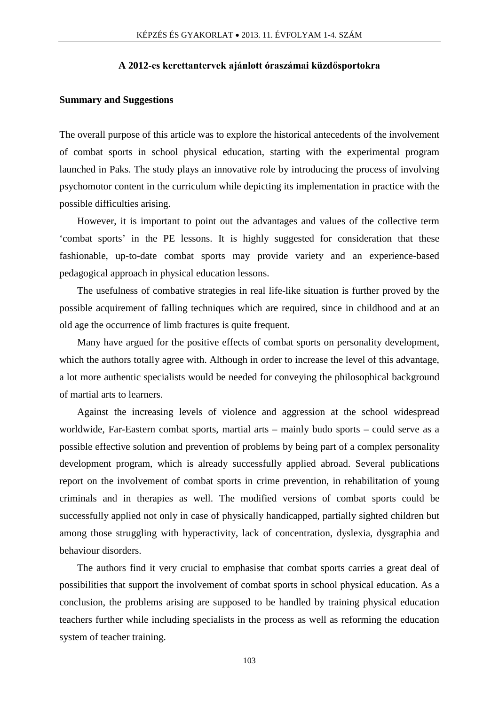#### **A 2012-es kerettantervek ajánlott óraszámai küzdősportokra**

#### **Summary and Suggestions**

The overall purpose of this article was to explore the historical antecedents of the involvement of combat sports in school physical education, starting with the experimental program launched in Paks. The study plays an innovative role by introducing the process of involving psychomotor content in the curriculum while depicting its implementation in practice with the possible difficulties arising.

However, it is important to point out the advantages and values of the collective term 'combat sports' in the PE lessons. It is highly suggested for consideration that these fashionable, up-to-date combat sports may provide variety and an experience-based pedagogical approach in physical education lessons.

The usefulness of combative strategies in real life-like situation is further proved by the possible acquirement of falling techniques which are required, since in childhood and at an old age the occurrence of limb fractures is quite frequent.

Many have argued for the positive effects of combat sports on personality development, which the authors totally agree with. Although in order to increase the level of this advantage, a lot more authentic specialists would be needed for conveying the philosophical background of martial arts to learners.

Against the increasing levels of violence and aggression at the school widespread worldwide, Far-Eastern combat sports, martial arts – mainly budo sports – could serve as a possible effective solution and prevention of problems by being part of a complex personality development program, which is already successfully applied abroad. Several publications report on the involvement of combat sports in crime prevention, in rehabilitation of young criminals and in therapies as well. The modified versions of combat sports could be successfully applied not only in case of physically handicapped, partially sighted children but among those struggling with hyperactivity, lack of concentration, dyslexia, dysgraphia and behaviour disorders.

The authors find it very crucial to emphasise that combat sports carries a great deal of possibilities that support the involvement of combat sports in school physical education. As a conclusion, the problems arising are supposed to be handled by training physical education teachers further while including specialists in the process as well as reforming the education system of teacher training.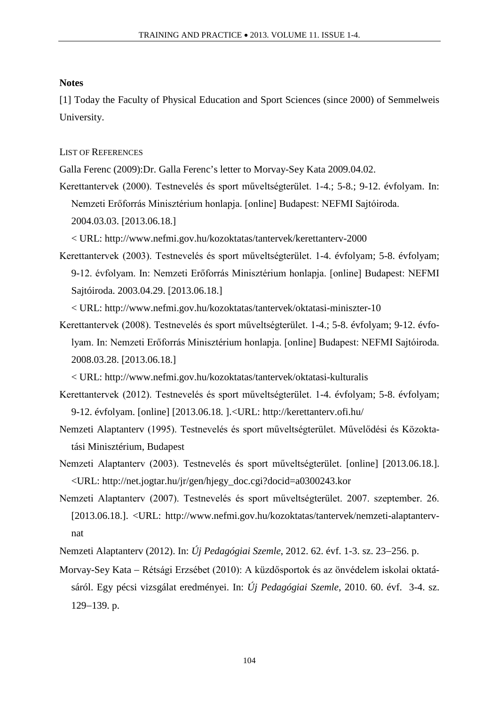#### **Notes**

[1] Today the Faculty of Physical Education and Sport Sciences (since 2000) of Semmelweis University.

## LIST OF REFERENCES

Galla Ferenc (2009):Dr. Galla Ferenc's letter to Morvay-Sey Kata 2009.04.02.

Kerettantervek (2000). Testnevelés és sport műveltségterület. 1-4.; 5-8.; 9-12. évfolyam. In: Nemzeti Erőforrás Minisztérium honlapja. [online] Budapest: NEFMI Sajtóiroda. 2004.03.03. [2013.06.18.]

< URL: http://www.nefmi.gov.hu/kozoktatas/tantervek/kerettanterv-2000

Kerettantervek (2003). Testnevelés és sport műveltségterület. 1-4. évfolyam; 5-8. évfolyam; 9-12. évfolyam. In: Nemzeti Erőforrás Minisztérium honlapja. [online] Budapest: NEFMI Sajtóiroda. 2003.04.29. [2013.06.18.]

< URL: http://www.nefmi.gov.hu/kozoktatas/tantervek/oktatasi-miniszter-10

Kerettantervek (2008). Testnevelés és sport műveltségterület. 1-4.; 5-8. évfolyam; 9-12. évfolyam. In: Nemzeti Erőforrás Minisztérium honlapja. [online] Budapest: NEFMI Sajtóiroda. 2008.03.28. [2013.06.18.]

< URL: http://www.nefmi.gov.hu/kozoktatas/tantervek/oktatasi-kulturalis

- Kerettantervek (2012). Testnevelés és sport műveltségterület. 1-4. évfolyam; 5-8. évfolyam; 9-12. évfolyam. [online] [2013.06.18. ].<URL: http://kerettanterv.ofi.hu/
- Nemzeti Alaptanterv (1995). Testnevelés és sport műveltségterület. Művelődési és Közoktatási Minisztérium, Budapest
- Nemzeti Alaptanterv (2003). Testnevelés és sport műveltségterület. [online] [2013.06.18.]. <URL: [http://net.jogtar.hu/jr/gen/hjegy\\_doc.cgi?docid=a0300243.kor](http://net.jogtar.hu/jr/gen/hjegy_doc.cgi?docid=a0300243.kor)
- Nemzeti Alaptanterv (2007). Testnevelés és sport műveltségterület. 2007. szeptember. 26. [2013.06.18.]. <URL: [http://www.nefmi.gov.hu/kozoktatas/tantervek/nemzeti-alaptanterv](http://www.nefmi.gov.hu/kozoktatas/tantervek/nemzeti-alaptanterv-nat)[nat](http://www.nefmi.gov.hu/kozoktatas/tantervek/nemzeti-alaptanterv-nat)
- Nemzeti Alaptanterv (2012). In: *Új Pedagógiai Szemle*, 2012. 62. évf. 1-3. sz. 23−256. p.
- Morvay-Sey Kata − Rétsági Erzsébet (2010): A küzdősportok és az önvédelem iskolai oktatásáról. Egy pécsi vizsgálat eredményei. In: *Új Pedagógiai Szemle*, 2010. 60. évf. 3-4. sz. 129−139. p.